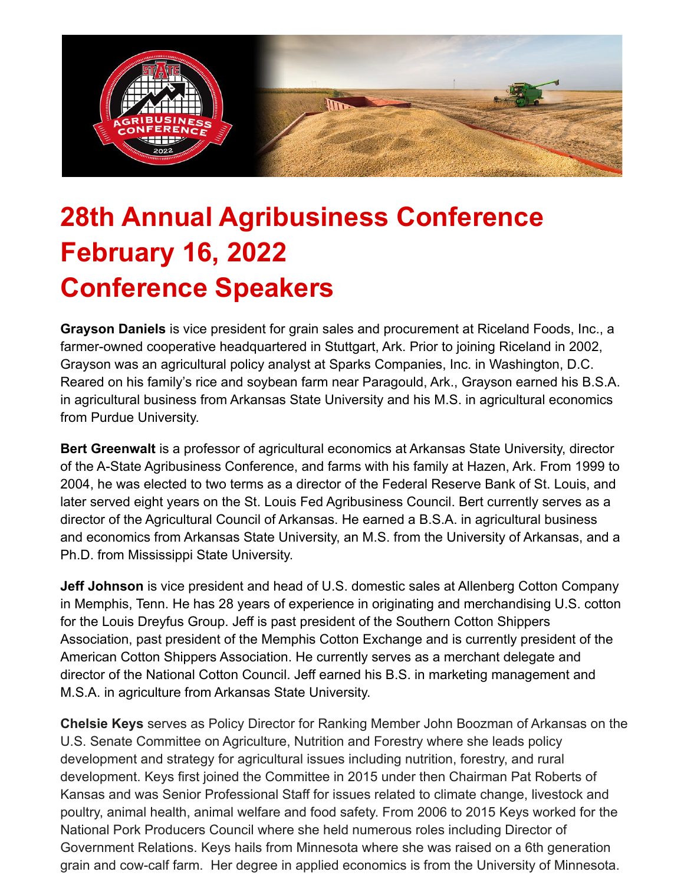

## **28th Annual Agribusiness Conference February 16, 2022 Conference Speakers**

**Grayson Daniels** is vice president for grain sales and procurement at Riceland Foods, Inc., a farmer-owned cooperative headquartered in Stuttgart, Ark. Prior to joining Riceland in 2002, Grayson was an agricultural policy analyst at Sparks Companies, Inc. in Washington, D.C. Reared on his family's rice and soybean farm near Paragould, Ark., Grayson earned his B.S.A. in agricultural business from Arkansas State University and his M.S. in agricultural economics from Purdue University.

**Bert Greenwalt** is a professor of agricultural economics at Arkansas State University, director of the A-State Agribusiness Conference, and farms with his family at Hazen, Ark. From 1999 to 2004, he was elected to two terms as a director of the Federal Reserve Bank of St. Louis, and later served eight years on the St. Louis Fed Agribusiness Council. Bert currently serves as a director of the Agricultural Council of Arkansas. He earned a B.S.A. in agricultural business and economics from Arkansas State University, an M.S. from the University of Arkansas, and a Ph.D. from Mississippi State University.

**Jeff Johnson** is vice president and head of U.S. domestic sales at Allenberg Cotton Company in Memphis, Tenn. He has 28 years of experience in originating and merchandising U.S. cotton for the Louis Dreyfus Group. Jeff is past president of the Southern Cotton Shippers Association, past president of the Memphis Cotton Exchange and is currently president of the American Cotton Shippers Association. He currently serves as a merchant delegate and director of the National Cotton Council. Jeff earned his B.S. in marketing management and M.S.A. in agriculture from Arkansas State University.

**Chelsie Keys** serves as Policy Director for Ranking Member John Boozman of Arkansas on the U.S. Senate Committee on Agriculture, Nutrition and Forestry where she leads policy development and strategy for agricultural issues including nutrition, forestry, and rural development. Keys first joined the Committee in 2015 under then Chairman Pat Roberts of Kansas and was Senior Professional Staff for issues related to climate change, livestock and poultry, animal health, animal welfare and food safety. From 2006 to 2015 Keys worked for the National Pork Producers Council where she held numerous roles including Director of Government Relations. Keys hails from Minnesota where she was raised on a 6th generation grain and cow-calf farm. Her degree in applied economics is from the University of Minnesota.